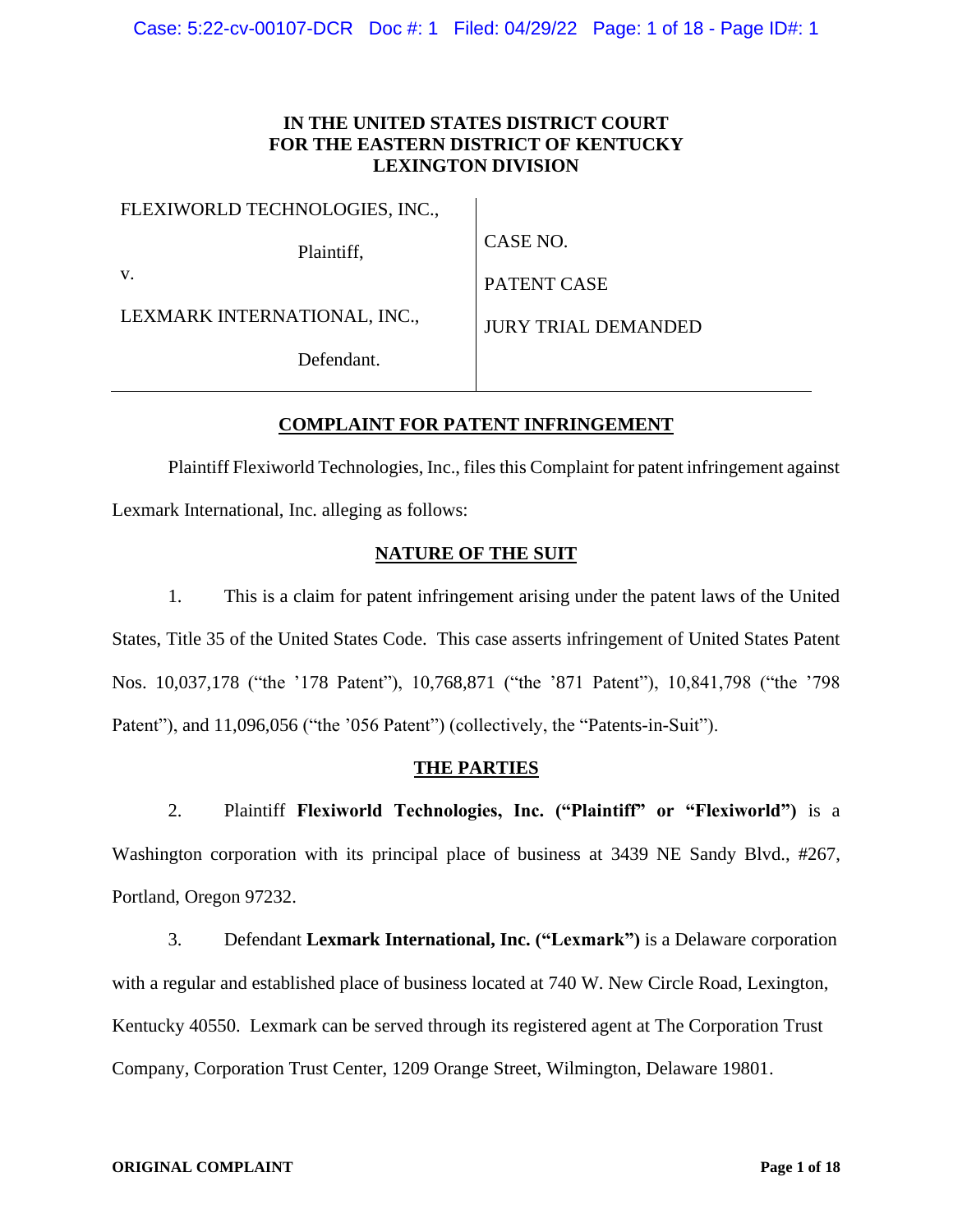# **IN THE UNITED STATES DISTRICT COURT FOR THE EASTERN DISTRICT OF KENTUCKY LEXINGTON DIVISION**

| FLEXIWORLD TECHNOLOGIES, INC., |                            |
|--------------------------------|----------------------------|
| Plaintiff,                     | CASE NO.                   |
| V.                             | PATENT CASE                |
| LEXMARK INTERNATIONAL, INC.,   | <b>JURY TRIAL DEMANDED</b> |
| Defendant                      |                            |

# **COMPLAINT FOR PATENT INFRINGEMENT**

Plaintiff Flexiworld Technologies, Inc., files this Complaint for patent infringement against Lexmark International, Inc. alleging as follows:

# **NATURE OF THE SUIT**

1. This is a claim for patent infringement arising under the patent laws of the United States, Title 35 of the United States Code. This case asserts infringement of United States Patent Nos. 10,037,178 ("the '178 Patent"), 10,768,871 ("the '871 Patent"), 10,841,798 ("the '798 Patent"), and 11,096,056 ("the '056 Patent") (collectively, the "Patents-in-Suit").

#### **THE PARTIES**

2. Plaintiff **Flexiworld Technologies, Inc. ("Plaintiff" or "Flexiworld")** is a Washington corporation with its principal place of business at 3439 NE Sandy Blvd., #267, Portland, Oregon 97232.

3. Defendant **Lexmark International, Inc. ("Lexmark")** is a Delaware corporation with a regular and established place of business located at 740 W. New Circle Road, Lexington, Kentucky 40550. Lexmark can be served through its registered agent at The Corporation Trust Company, Corporation Trust Center, 1209 Orange Street, Wilmington, Delaware 19801.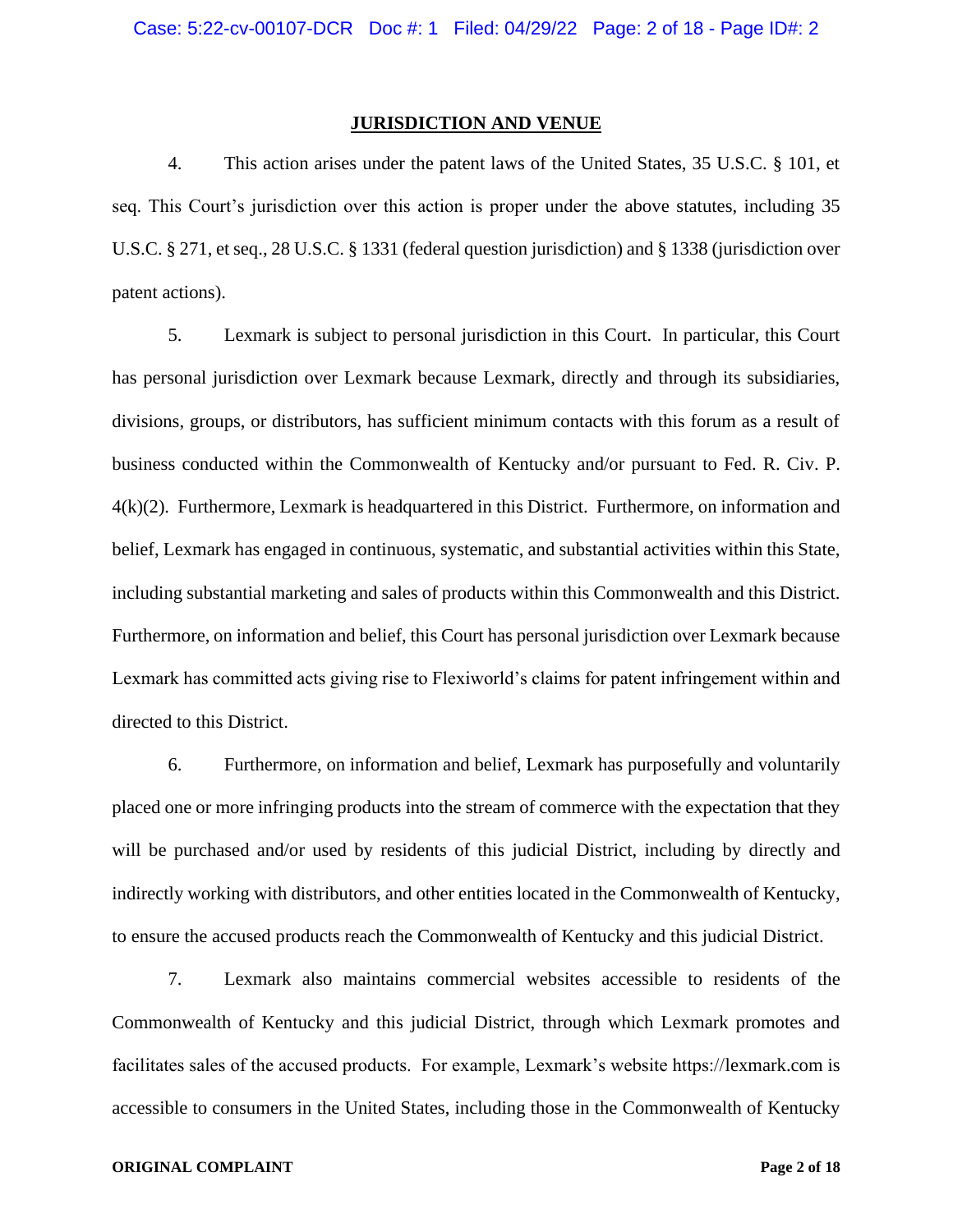## **JURISDICTION AND VENUE**

4. This action arises under the patent laws of the United States, 35 U.S.C. § 101, et seq. This Court's jurisdiction over this action is proper under the above statutes, including 35 U.S.C. § 271, et seq., 28 U.S.C. § 1331 (federal question jurisdiction) and § 1338 (jurisdiction over patent actions).

5. Lexmark is subject to personal jurisdiction in this Court. In particular, this Court has personal jurisdiction over Lexmark because Lexmark, directly and through its subsidiaries, divisions, groups, or distributors, has sufficient minimum contacts with this forum as a result of business conducted within the Commonwealth of Kentucky and/or pursuant to Fed. R. Civ. P. 4(k)(2). Furthermore, Lexmark is headquartered in this District. Furthermore, on information and belief, Lexmark has engaged in continuous, systematic, and substantial activities within this State, including substantial marketing and sales of products within this Commonwealth and this District. Furthermore, on information and belief, this Court has personal jurisdiction over Lexmark because Lexmark has committed acts giving rise to Flexiworld's claims for patent infringement within and directed to this District.

6. Furthermore, on information and belief, Lexmark has purposefully and voluntarily placed one or more infringing products into the stream of commerce with the expectation that they will be purchased and/or used by residents of this judicial District, including by directly and indirectly working with distributors, and other entities located in the Commonwealth of Kentucky, to ensure the accused products reach the Commonwealth of Kentucky and this judicial District.

7. Lexmark also maintains commercial websites accessible to residents of the Commonwealth of Kentucky and this judicial District, through which Lexmark promotes and facilitates sales of the accused products. For example, Lexmark's website https://lexmark.com is accessible to consumers in the United States, including those in the Commonwealth of Kentucky

### **ORIGINAL COMPLAINT Page 2 of 18**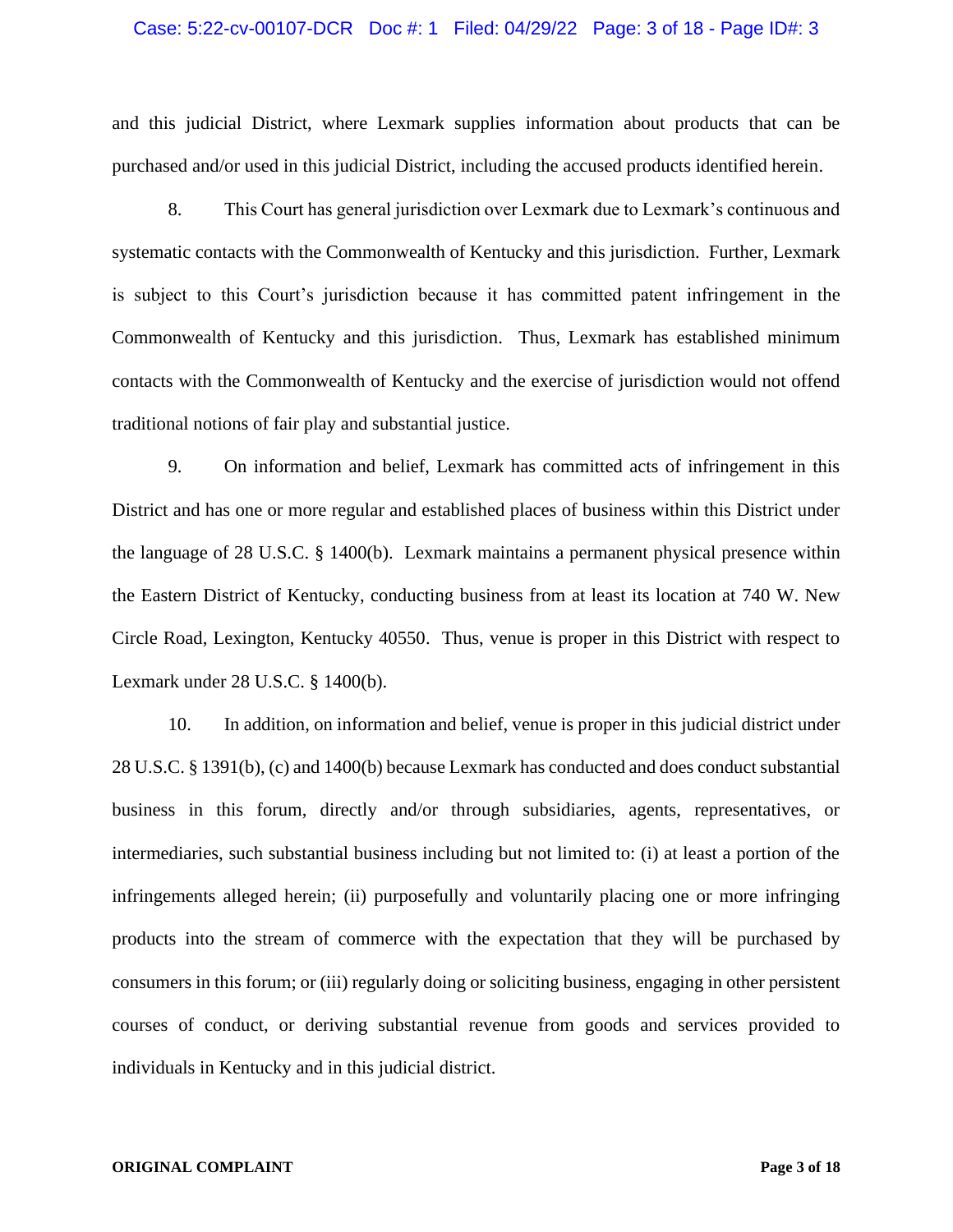### Case: 5:22-cv-00107-DCR Doc #: 1 Filed: 04/29/22 Page: 3 of 18 - Page ID#: 3

and this judicial District, where Lexmark supplies information about products that can be purchased and/or used in this judicial District, including the accused products identified herein.

8. This Court has general jurisdiction over Lexmark due to Lexmark's continuous and systematic contacts with the Commonwealth of Kentucky and this jurisdiction. Further, Lexmark is subject to this Court's jurisdiction because it has committed patent infringement in the Commonwealth of Kentucky and this jurisdiction. Thus, Lexmark has established minimum contacts with the Commonwealth of Kentucky and the exercise of jurisdiction would not offend traditional notions of fair play and substantial justice.

9. On information and belief, Lexmark has committed acts of infringement in this District and has one or more regular and established places of business within this District under the language of 28 U.S.C. § 1400(b). Lexmark maintains a permanent physical presence within the Eastern District of Kentucky, conducting business from at least its location at 740 W. New Circle Road, Lexington, Kentucky 40550. Thus, venue is proper in this District with respect to Lexmark under 28 U.S.C. § 1400(b).

10. In addition, on information and belief, venue is proper in this judicial district under 28 U.S.C. § 1391(b), (c) and 1400(b) because Lexmark has conducted and does conduct substantial business in this forum, directly and/or through subsidiaries, agents, representatives, or intermediaries, such substantial business including but not limited to: (i) at least a portion of the infringements alleged herein; (ii) purposefully and voluntarily placing one or more infringing products into the stream of commerce with the expectation that they will be purchased by consumers in this forum; or (iii) regularly doing or soliciting business, engaging in other persistent courses of conduct, or deriving substantial revenue from goods and services provided to individuals in Kentucky and in this judicial district.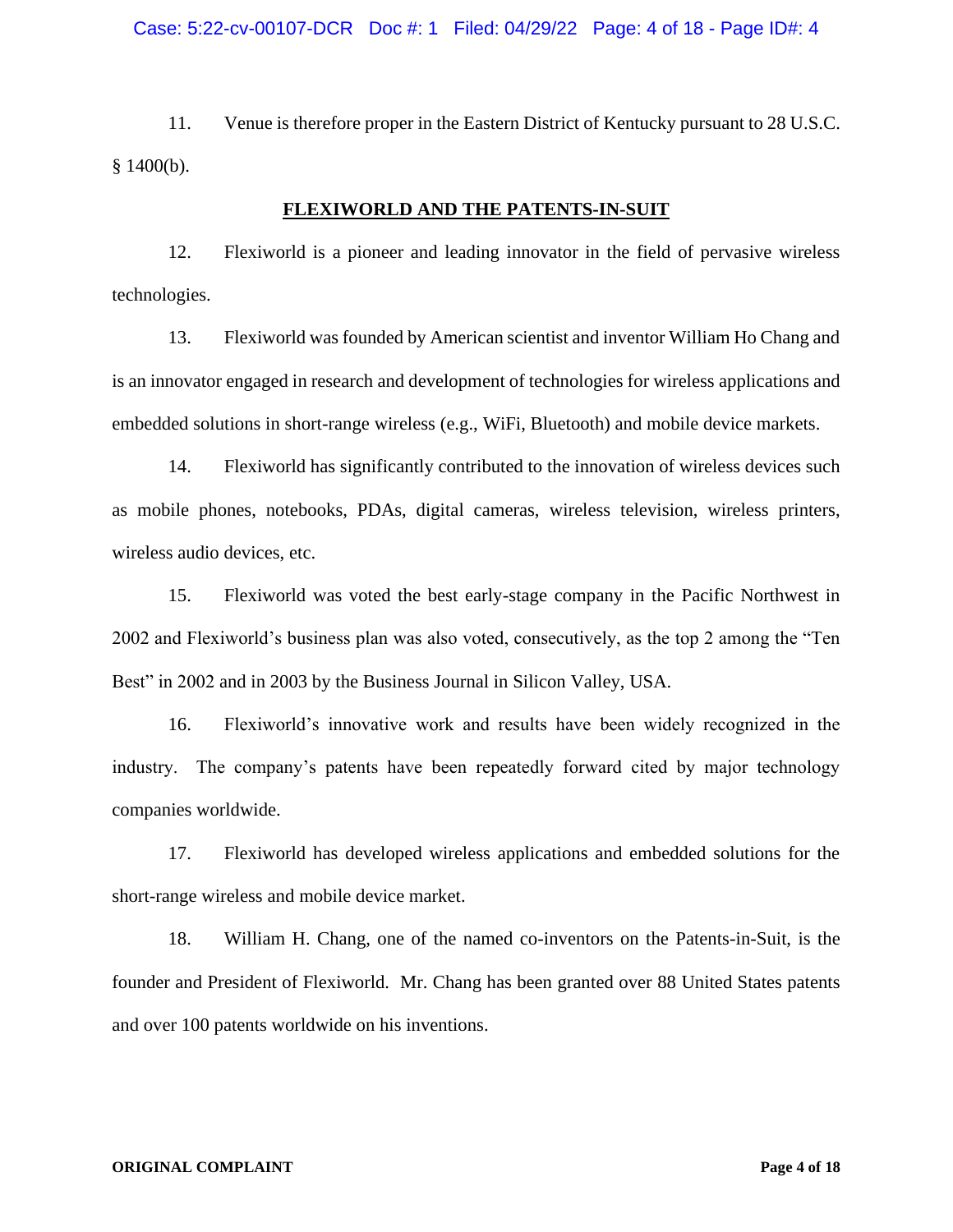11. Venue is therefore proper in the Eastern District of Kentucky pursuant to 28 U.S.C. § 1400(b).

# **FLEXIWORLD AND THE PATENTS-IN-SUIT**

12. Flexiworld is a pioneer and leading innovator in the field of pervasive wireless technologies.

13. Flexiworld was founded by American scientist and inventor William Ho Chang and is an innovator engaged in research and development of technologies for wireless applications and embedded solutions in short-range wireless (e.g., WiFi, Bluetooth) and mobile device markets.

14. Flexiworld has significantly contributed to the innovation of wireless devices such as mobile phones, notebooks, PDAs, digital cameras, wireless television, wireless printers, wireless audio devices, etc.

15. Flexiworld was voted the best early-stage company in the Pacific Northwest in 2002 and Flexiworld's business plan was also voted, consecutively, as the top 2 among the "Ten Best" in 2002 and in 2003 by the Business Journal in Silicon Valley, USA.

16. Flexiworld's innovative work and results have been widely recognized in the industry. The company's patents have been repeatedly forward cited by major technology companies worldwide.

17. Flexiworld has developed wireless applications and embedded solutions for the short-range wireless and mobile device market.

18. William H. Chang, one of the named co-inventors on the Patents-in-Suit, is the founder and President of Flexiworld. Mr. Chang has been granted over 88 United States patents and over 100 patents worldwide on his inventions.

#### **ORIGINAL COMPLAINT Page 4 of 18**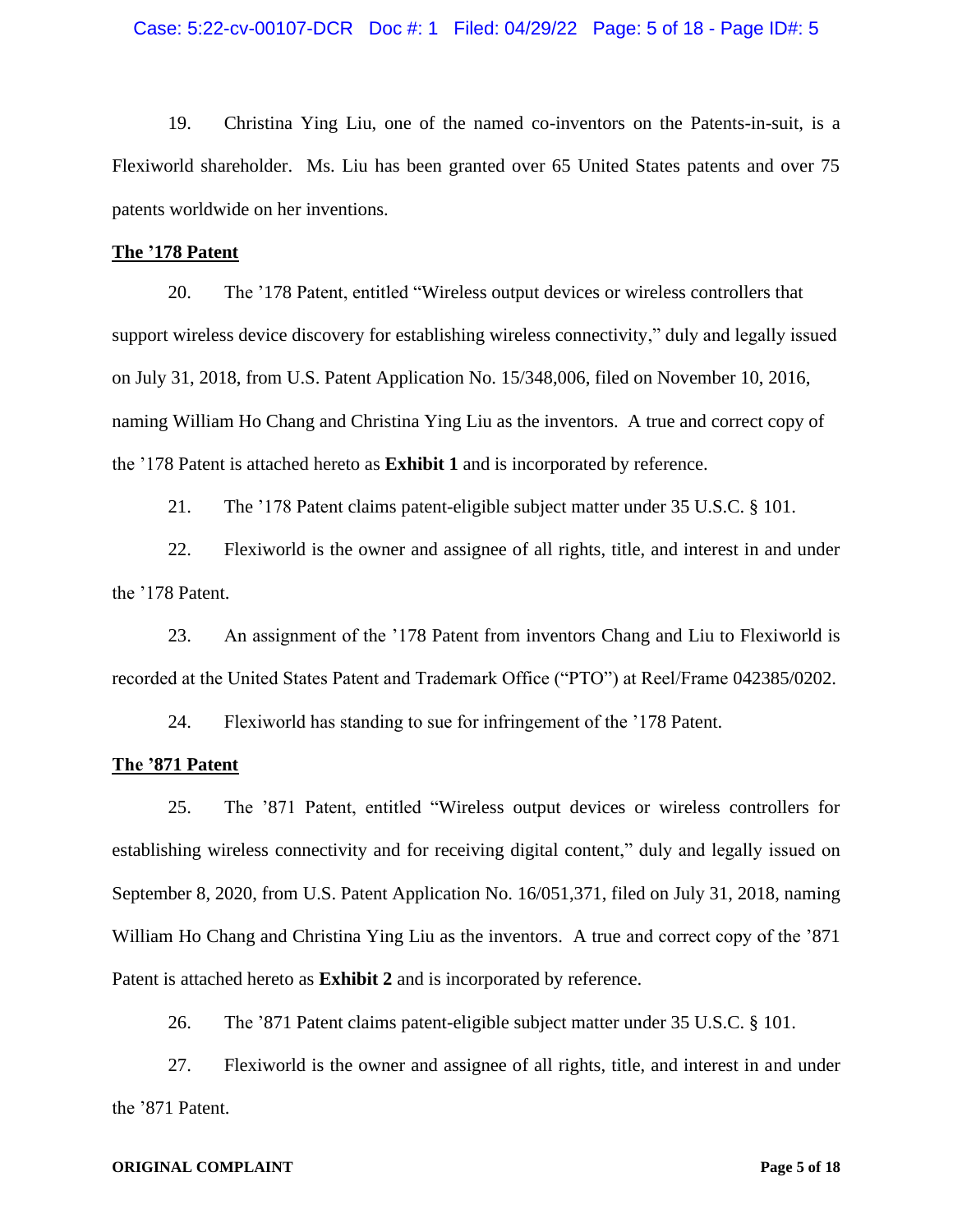19. Christina Ying Liu, one of the named co-inventors on the Patents-in-suit, is a Flexiworld shareholder. Ms. Liu has been granted over 65 United States patents and over 75 patents worldwide on her inventions.

## **The '178 Patent**

20. The '178 Patent, entitled "Wireless output devices or wireless controllers that support wireless device discovery for establishing wireless connectivity," duly and legally issued on July 31, 2018, from U.S. Patent Application No. 15/348,006, filed on November 10, 2016, naming William Ho Chang and Christina Ying Liu as the inventors. A true and correct copy of the '178 Patent is attached hereto as **Exhibit 1** and is incorporated by reference.

21. The '178 Patent claims patent-eligible subject matter under 35 U.S.C. § 101.

22. Flexiworld is the owner and assignee of all rights, title, and interest in and under the '178 Patent.

23. An assignment of the '178 Patent from inventors Chang and Liu to Flexiworld is recorded at the United States Patent and Trademark Office ("PTO") at Reel/Frame 042385/0202.

24. Flexiworld has standing to sue for infringement of the '178 Patent.

# **The '871 Patent**

25. The '871 Patent, entitled "Wireless output devices or wireless controllers for establishing wireless connectivity and for receiving digital content," duly and legally issued on September 8, 2020, from U.S. Patent Application No. 16/051,371, filed on July 31, 2018, naming William Ho Chang and Christina Ying Liu as the inventors. A true and correct copy of the '871 Patent is attached hereto as **Exhibit 2** and is incorporated by reference.

26. The '871 Patent claims patent-eligible subject matter under 35 U.S.C. § 101.

27. Flexiworld is the owner and assignee of all rights, title, and interest in and under the '871 Patent.

#### **ORIGINAL COMPLAINT Page 5 of 18**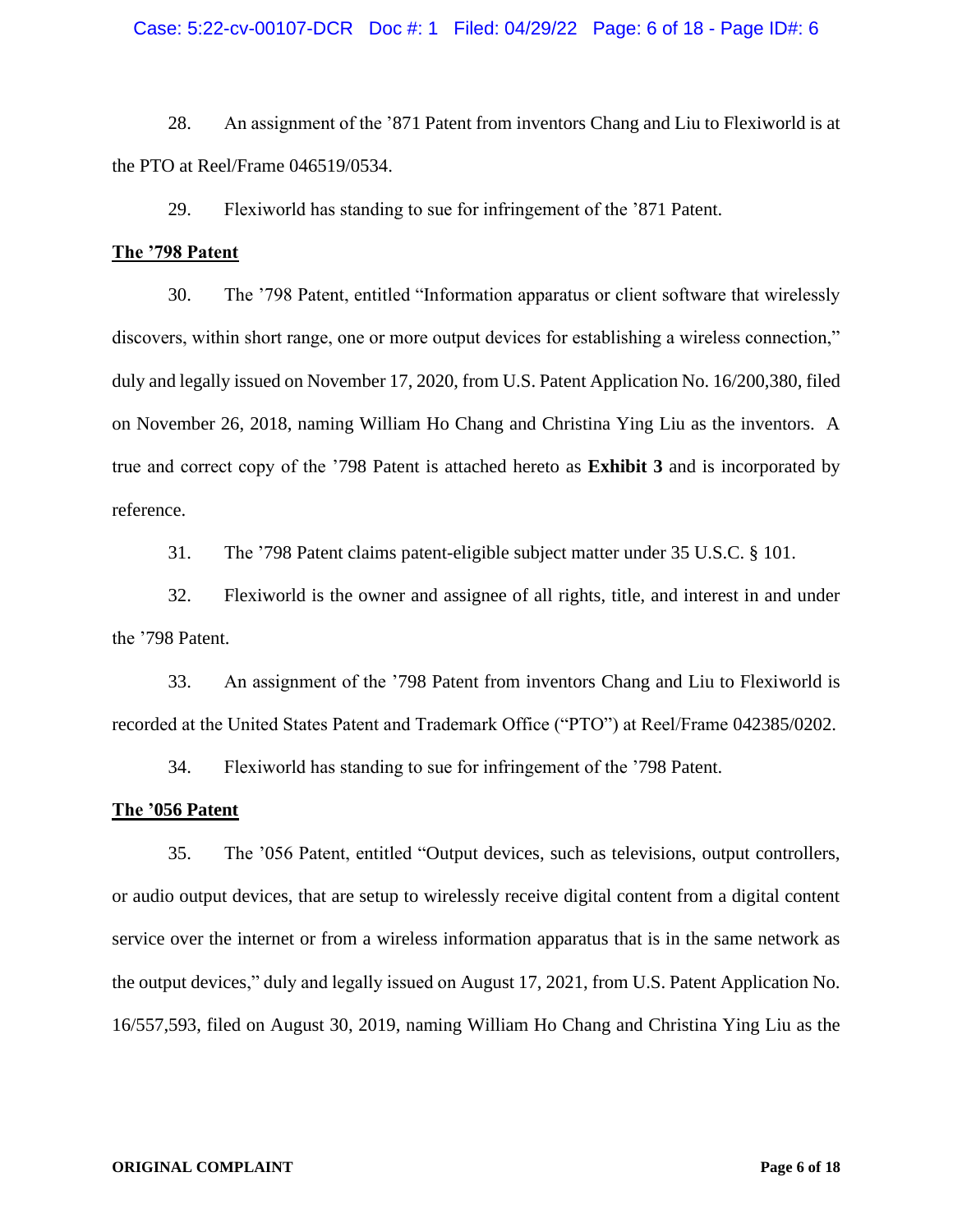## Case: 5:22-cv-00107-DCR Doc #: 1 Filed: 04/29/22 Page: 6 of 18 - Page ID#: 6

28. An assignment of the '871 Patent from inventors Chang and Liu to Flexiworld is at the PTO at Reel/Frame 046519/0534.

29. Flexiworld has standing to sue for infringement of the '871 Patent.

## **The '798 Patent**

30. The '798 Patent, entitled "Information apparatus or client software that wirelessly discovers, within short range, one or more output devices for establishing a wireless connection," duly and legally issued on November 17, 2020, from U.S. Patent Application No. 16/200,380, filed on November 26, 2018, naming William Ho Chang and Christina Ying Liu as the inventors. A true and correct copy of the '798 Patent is attached hereto as **Exhibit 3** and is incorporated by reference.

31. The '798 Patent claims patent-eligible subject matter under 35 U.S.C. § 101.

32. Flexiworld is the owner and assignee of all rights, title, and interest in and under the '798 Patent.

33. An assignment of the '798 Patent from inventors Chang and Liu to Flexiworld is recorded at the United States Patent and Trademark Office ("PTO") at Reel/Frame 042385/0202.

34. Flexiworld has standing to sue for infringement of the '798 Patent.

## **The '056 Patent**

35. The '056 Patent, entitled "Output devices, such as televisions, output controllers, or audio output devices, that are setup to wirelessly receive digital content from a digital content service over the internet or from a wireless information apparatus that is in the same network as the output devices," duly and legally issued on August 17, 2021, from U.S. Patent Application No. 16/557,593, filed on August 30, 2019, naming William Ho Chang and Christina Ying Liu as the

#### **ORIGINAL COMPLAINT Page 6 of 18**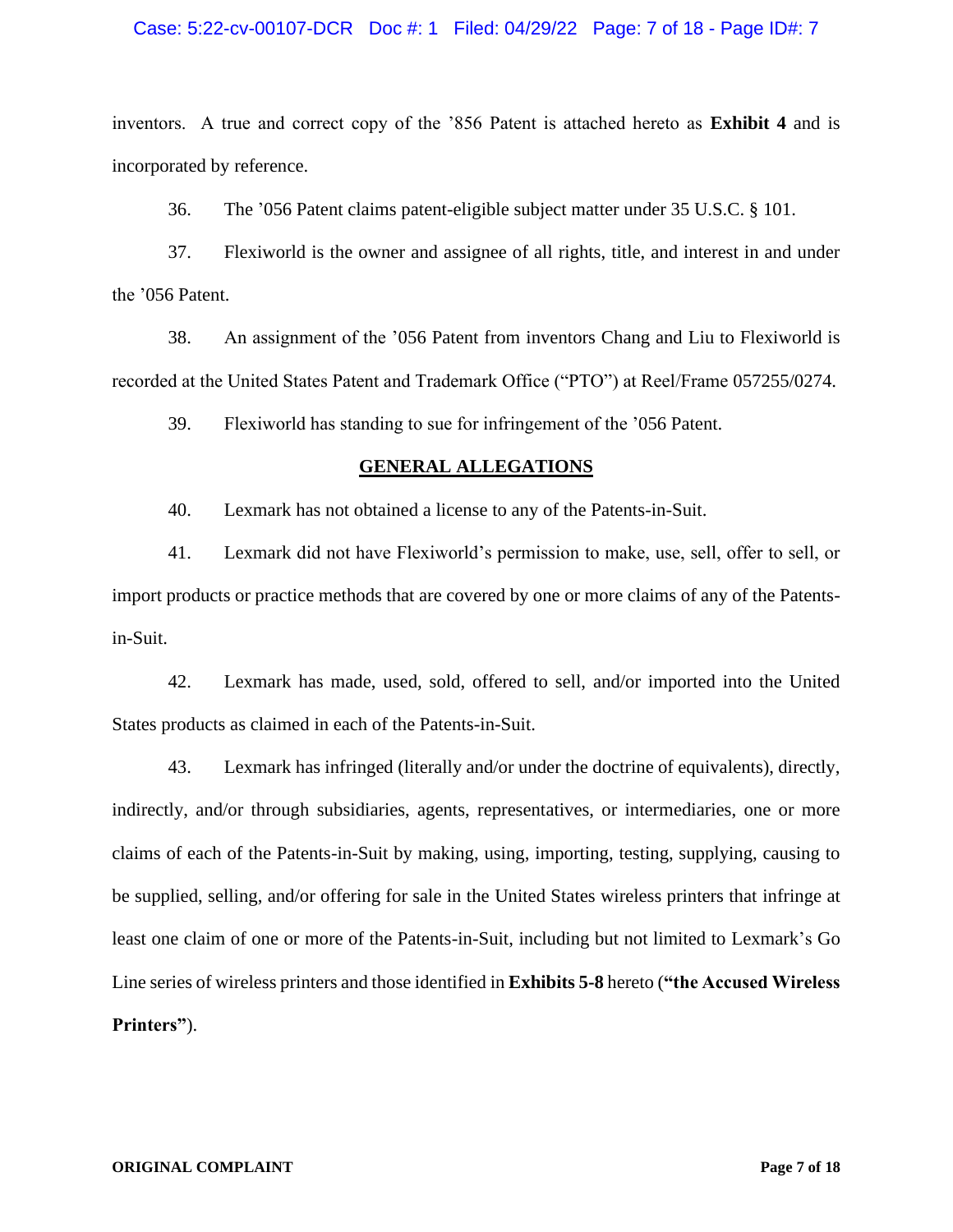# Case: 5:22-cv-00107-DCR Doc #: 1 Filed: 04/29/22 Page: 7 of 18 - Page ID#: 7

inventors. A true and correct copy of the '856 Patent is attached hereto as **Exhibit 4** and is incorporated by reference.

36. The '056 Patent claims patent-eligible subject matter under 35 U.S.C. § 101.

37. Flexiworld is the owner and assignee of all rights, title, and interest in and under the '056 Patent.

38. An assignment of the '056 Patent from inventors Chang and Liu to Flexiworld is recorded at the United States Patent and Trademark Office ("PTO") at Reel/Frame 057255/0274.

39. Flexiworld has standing to sue for infringement of the '056 Patent.

# **GENERAL ALLEGATIONS**

40. Lexmark has not obtained a license to any of the Patents-in-Suit.

41. Lexmark did not have Flexiworld's permission to make, use, sell, offer to sell, or import products or practice methods that are covered by one or more claims of any of the Patentsin-Suit.

42. Lexmark has made, used, sold, offered to sell, and/or imported into the United States products as claimed in each of the Patents-in-Suit.

43. Lexmark has infringed (literally and/or under the doctrine of equivalents), directly, indirectly, and/or through subsidiaries, agents, representatives, or intermediaries, one or more claims of each of the Patents-in-Suit by making, using, importing, testing, supplying, causing to be supplied, selling, and/or offering for sale in the United States wireless printers that infringe at least one claim of one or more of the Patents-in-Suit, including but not limited to Lexmark's Go Line series of wireless printers and those identified in **Exhibits 5-8** hereto (**"the Accused Wireless Printers"**).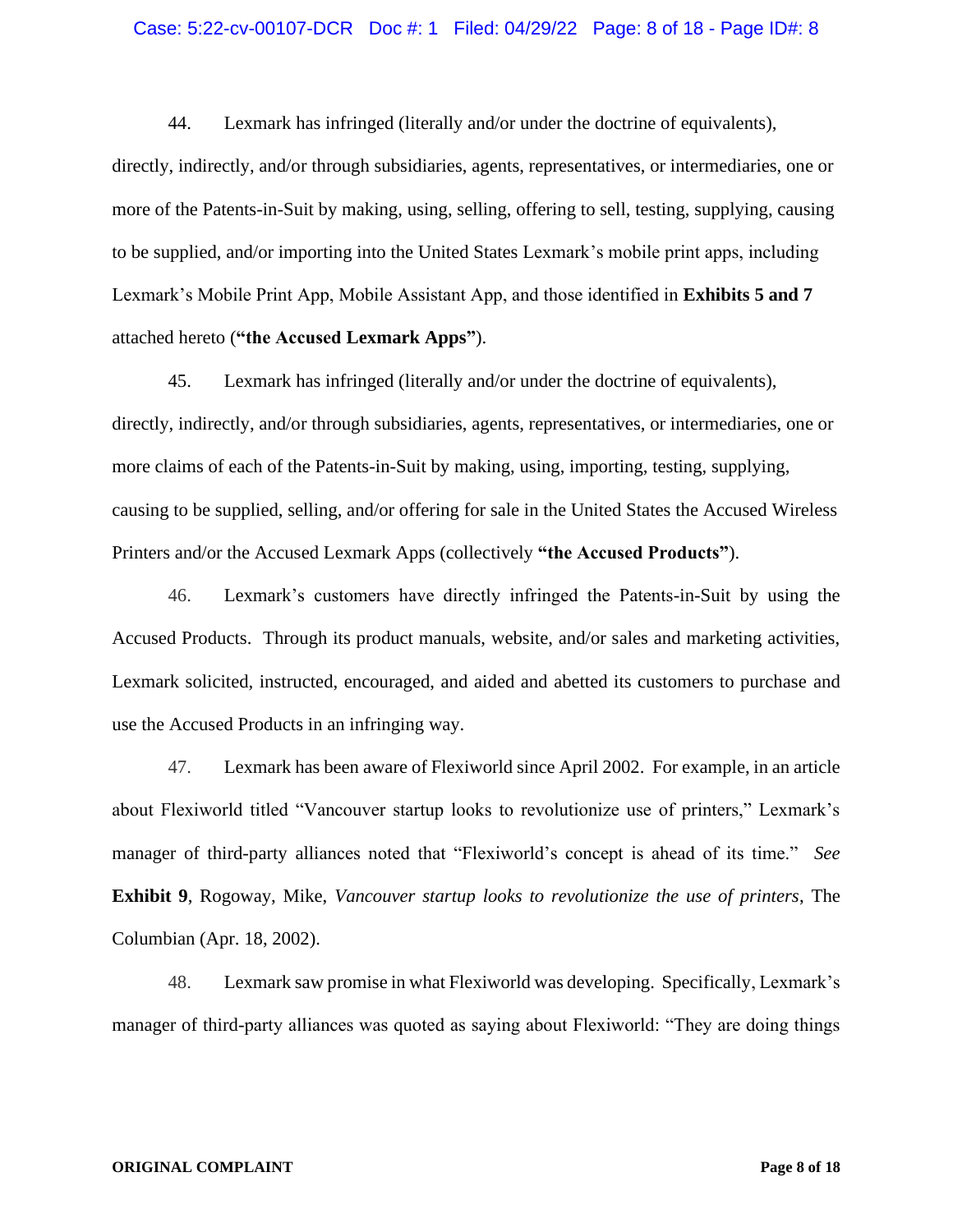### Case: 5:22-cv-00107-DCR Doc #: 1 Filed: 04/29/22 Page: 8 of 18 - Page ID#: 8

44. Lexmark has infringed (literally and/or under the doctrine of equivalents), directly, indirectly, and/or through subsidiaries, agents, representatives, or intermediaries, one or more of the Patents-in-Suit by making, using, selling, offering to sell, testing, supplying, causing to be supplied, and/or importing into the United States Lexmark's mobile print apps, including Lexmark's Mobile Print App, Mobile Assistant App, and those identified in **Exhibits 5 and 7** attached hereto (**"the Accused Lexmark Apps"**).

45. Lexmark has infringed (literally and/or under the doctrine of equivalents), directly, indirectly, and/or through subsidiaries, agents, representatives, or intermediaries, one or more claims of each of the Patents-in-Suit by making, using, importing, testing, supplying, causing to be supplied, selling, and/or offering for sale in the United States the Accused Wireless Printers and/or the Accused Lexmark Apps (collectively **"the Accused Products"**).

46. Lexmark's customers have directly infringed the Patents-in-Suit by using the Accused Products. Through its product manuals, website, and/or sales and marketing activities, Lexmark solicited, instructed, encouraged, and aided and abetted its customers to purchase and use the Accused Products in an infringing way.

47. Lexmark has been aware of Flexiworld since April 2002. For example, in an article about Flexiworld titled "Vancouver startup looks to revolutionize use of printers," Lexmark's manager of third-party alliances noted that "Flexiworld's concept is ahead of its time." *See*  **Exhibit 9**, Rogoway, Mike, *Vancouver startup looks to revolutionize the use of printers*, The Columbian (Apr. 18, 2002).

48. Lexmark saw promise in what Flexiworld was developing. Specifically, Lexmark's manager of third-party alliances was quoted as saying about Flexiworld: "They are doing things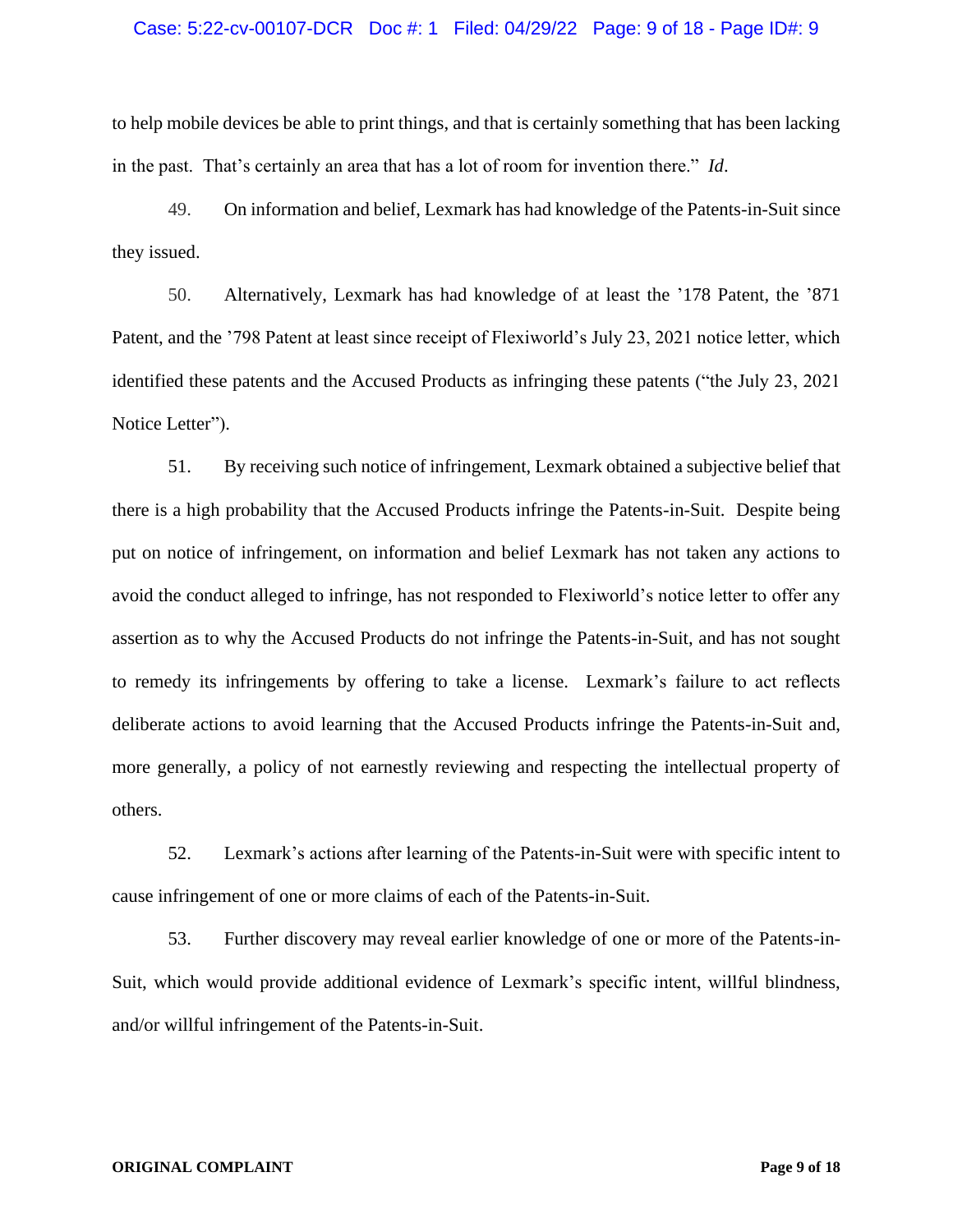## Case: 5:22-cv-00107-DCR Doc #: 1 Filed: 04/29/22 Page: 9 of 18 - Page ID#: 9

to help mobile devices be able to print things, and that is certainly something that has been lacking in the past. That's certainly an area that has a lot of room for invention there." *Id*.

49. On information and belief, Lexmark has had knowledge of the Patents-in-Suit since they issued.

50. Alternatively, Lexmark has had knowledge of at least the '178 Patent, the '871 Patent, and the '798 Patent at least since receipt of Flexiworld's July 23, 2021 notice letter, which identified these patents and the Accused Products as infringing these patents ("the July 23, 2021 Notice Letter").

51. By receiving such notice of infringement, Lexmark obtained a subjective belief that there is a high probability that the Accused Products infringe the Patents-in-Suit. Despite being put on notice of infringement, on information and belief Lexmark has not taken any actions to avoid the conduct alleged to infringe, has not responded to Flexiworld's notice letter to offer any assertion as to why the Accused Products do not infringe the Patents-in-Suit, and has not sought to remedy its infringements by offering to take a license. Lexmark's failure to act reflects deliberate actions to avoid learning that the Accused Products infringe the Patents-in-Suit and, more generally, a policy of not earnestly reviewing and respecting the intellectual property of others.

52. Lexmark's actions after learning of the Patents-in-Suit were with specific intent to cause infringement of one or more claims of each of the Patents-in-Suit.

53. Further discovery may reveal earlier knowledge of one or more of the Patents-in-Suit, which would provide additional evidence of Lexmark's specific intent, willful blindness, and/or willful infringement of the Patents-in-Suit.

#### **ORIGINAL COMPLAINT Page 9 of 18**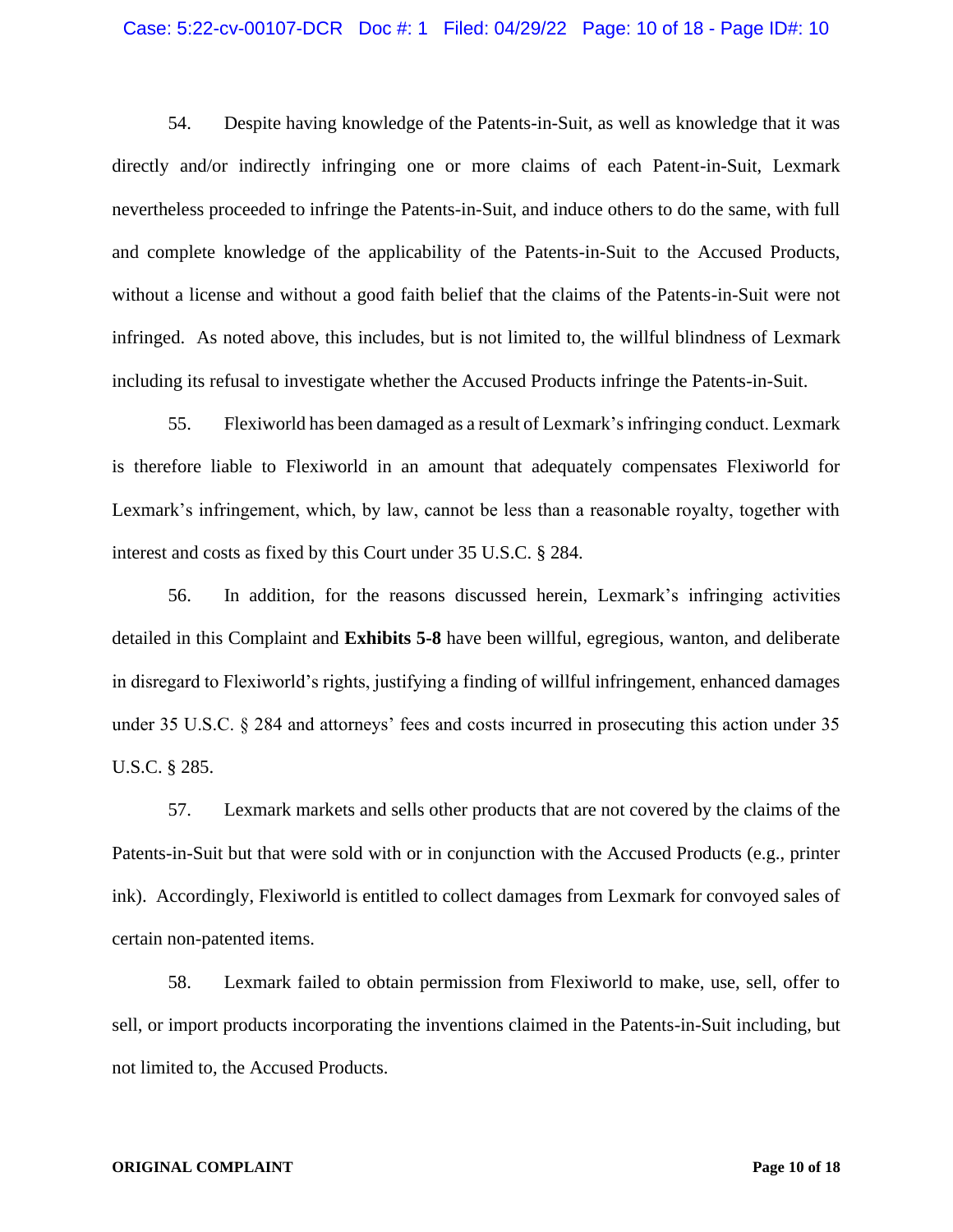## Case: 5:22-cv-00107-DCR Doc #: 1 Filed: 04/29/22 Page: 10 of 18 - Page ID#: 10

54. Despite having knowledge of the Patents-in-Suit, as well as knowledge that it was directly and/or indirectly infringing one or more claims of each Patent-in-Suit, Lexmark nevertheless proceeded to infringe the Patents-in-Suit, and induce others to do the same, with full and complete knowledge of the applicability of the Patents-in-Suit to the Accused Products, without a license and without a good faith belief that the claims of the Patents-in-Suit were not infringed. As noted above, this includes, but is not limited to, the willful blindness of Lexmark including its refusal to investigate whether the Accused Products infringe the Patents-in-Suit.

55. Flexiworld has been damaged as a result of Lexmark's infringing conduct. Lexmark is therefore liable to Flexiworld in an amount that adequately compensates Flexiworld for Lexmark's infringement, which, by law, cannot be less than a reasonable royalty, together with interest and costs as fixed by this Court under 35 U.S.C. § 284.

56. In addition, for the reasons discussed herein, Lexmark's infringing activities detailed in this Complaint and **Exhibits 5-8** have been willful, egregious, wanton, and deliberate in disregard to Flexiworld's rights, justifying a finding of willful infringement, enhanced damages under 35 U.S.C. § 284 and attorneys' fees and costs incurred in prosecuting this action under 35 U.S.C. § 285.

57. Lexmark markets and sells other products that are not covered by the claims of the Patents-in-Suit but that were sold with or in conjunction with the Accused Products (e.g., printer ink). Accordingly, Flexiworld is entitled to collect damages from Lexmark for convoyed sales of certain non-patented items.

58. Lexmark failed to obtain permission from Flexiworld to make, use, sell, offer to sell, or import products incorporating the inventions claimed in the Patents-in-Suit including, but not limited to, the Accused Products.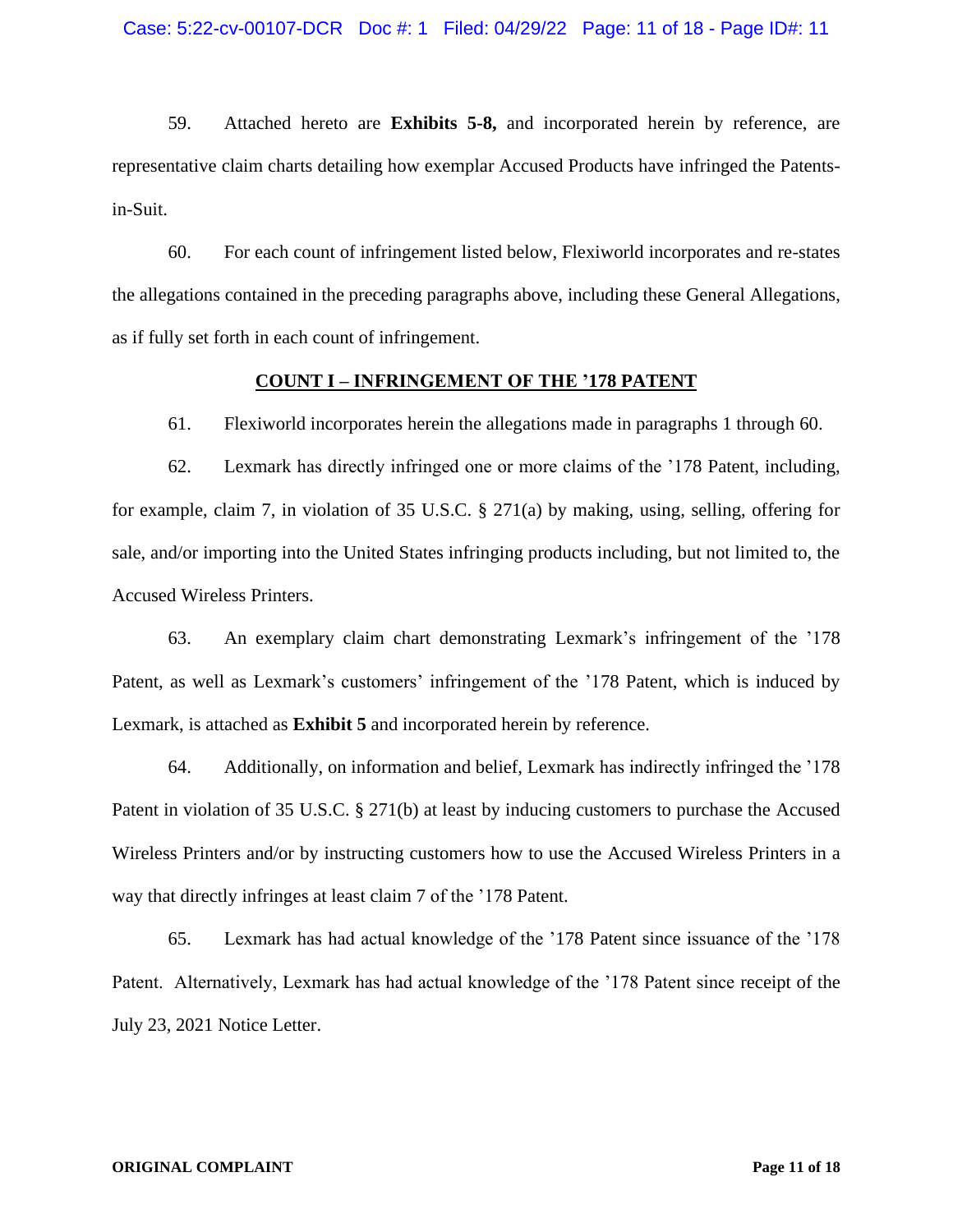59. Attached hereto are **Exhibits 5-8,** and incorporated herein by reference, are representative claim charts detailing how exemplar Accused Products have infringed the Patentsin-Suit.

60. For each count of infringement listed below, Flexiworld incorporates and re-states the allegations contained in the preceding paragraphs above, including these General Allegations, as if fully set forth in each count of infringement.

## **COUNT I – INFRINGEMENT OF THE '178 PATENT**

61. Flexiworld incorporates herein the allegations made in paragraphs 1 through 60.

62. Lexmark has directly infringed one or more claims of the '178 Patent, including, for example, claim 7, in violation of 35 U.S.C. § 271(a) by making, using, selling, offering for sale, and/or importing into the United States infringing products including, but not limited to, the Accused Wireless Printers.

63. An exemplary claim chart demonstrating Lexmark's infringement of the '178 Patent, as well as Lexmark's customers' infringement of the '178 Patent, which is induced by Lexmark, is attached as **Exhibit 5** and incorporated herein by reference.

64. Additionally, on information and belief, Lexmark has indirectly infringed the '178 Patent in violation of 35 U.S.C. § 271(b) at least by inducing customers to purchase the Accused Wireless Printers and/or by instructing customers how to use the Accused Wireless Printers in a way that directly infringes at least claim 7 of the '178 Patent.

65. Lexmark has had actual knowledge of the '178 Patent since issuance of the '178 Patent. Alternatively, Lexmark has had actual knowledge of the '178 Patent since receipt of the July 23, 2021 Notice Letter.

#### **ORIGINAL COMPLAINT Page 11 of 18**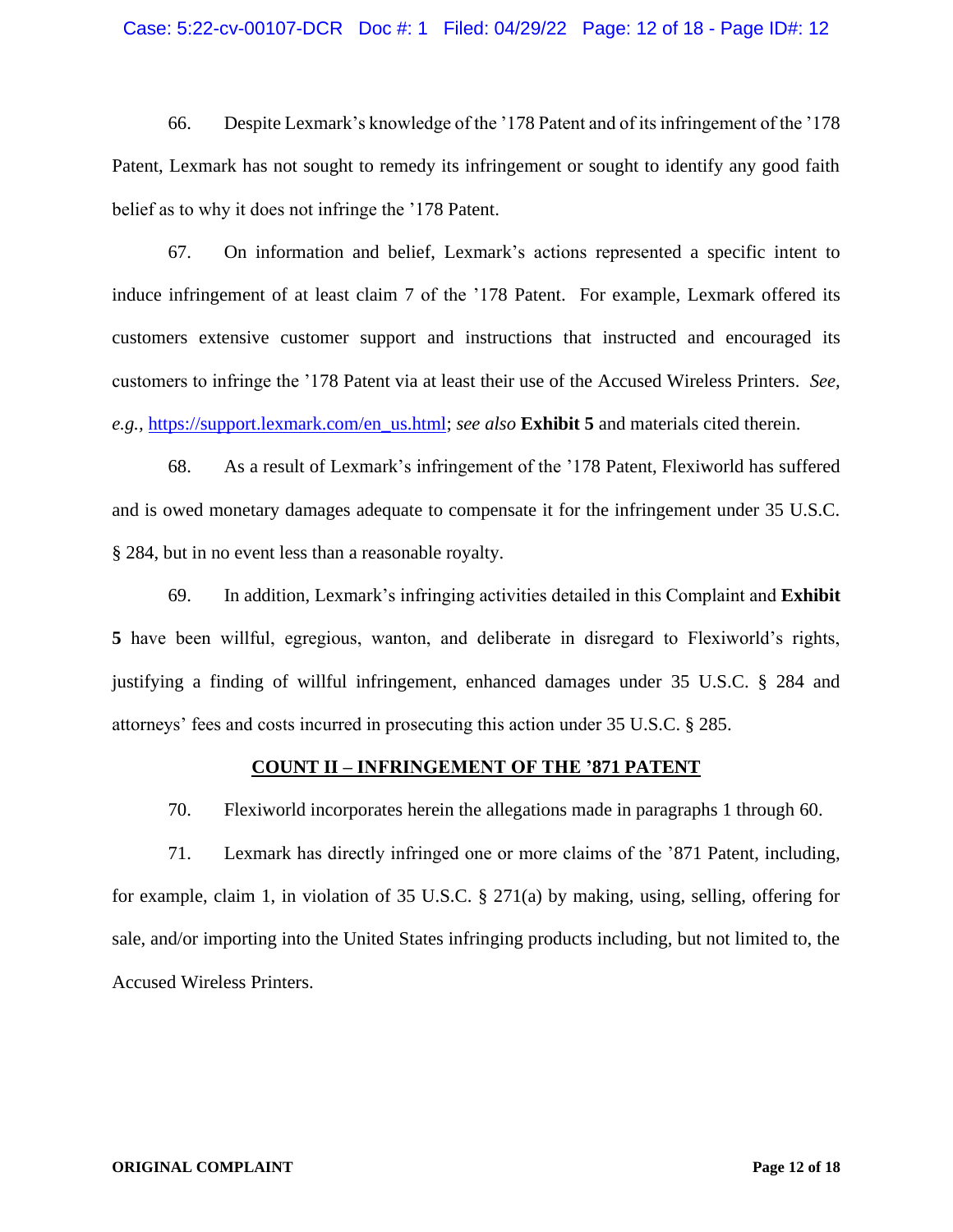## Case: 5:22-cv-00107-DCR Doc #: 1 Filed: 04/29/22 Page: 12 of 18 - Page ID#: 12

66. Despite Lexmark's knowledge of the '178 Patent and of its infringement of the '178 Patent, Lexmark has not sought to remedy its infringement or sought to identify any good faith belief as to why it does not infringe the '178 Patent.

67. On information and belief, Lexmark's actions represented a specific intent to induce infringement of at least claim 7 of the '178 Patent. For example, Lexmark offered its customers extensive customer support and instructions that instructed and encouraged its customers to infringe the '178 Patent via at least their use of the Accused Wireless Printers. *See, e.g.,* [https://support.lexmark.com/en\\_us.html;](https://support.lexmark.com/en_us.html) *see also* **Exhibit 5** and materials cited therein.

68. As a result of Lexmark's infringement of the '178 Patent, Flexiworld has suffered and is owed monetary damages adequate to compensate it for the infringement under 35 U.S.C. § 284, but in no event less than a reasonable royalty.

69. In addition, Lexmark's infringing activities detailed in this Complaint and **Exhibit 5** have been willful, egregious, wanton, and deliberate in disregard to Flexiworld's rights, justifying a finding of willful infringement, enhanced damages under 35 U.S.C. § 284 and attorneys' fees and costs incurred in prosecuting this action under 35 U.S.C. § 285.

#### **COUNT II – INFRINGEMENT OF THE '871 PATENT**

70. Flexiworld incorporates herein the allegations made in paragraphs 1 through 60.

71. Lexmark has directly infringed one or more claims of the '871 Patent, including, for example, claim 1, in violation of 35 U.S.C. § 271(a) by making, using, selling, offering for sale, and/or importing into the United States infringing products including, but not limited to, the Accused Wireless Printers.

#### **ORIGINAL COMPLAINT Page 12 of 18**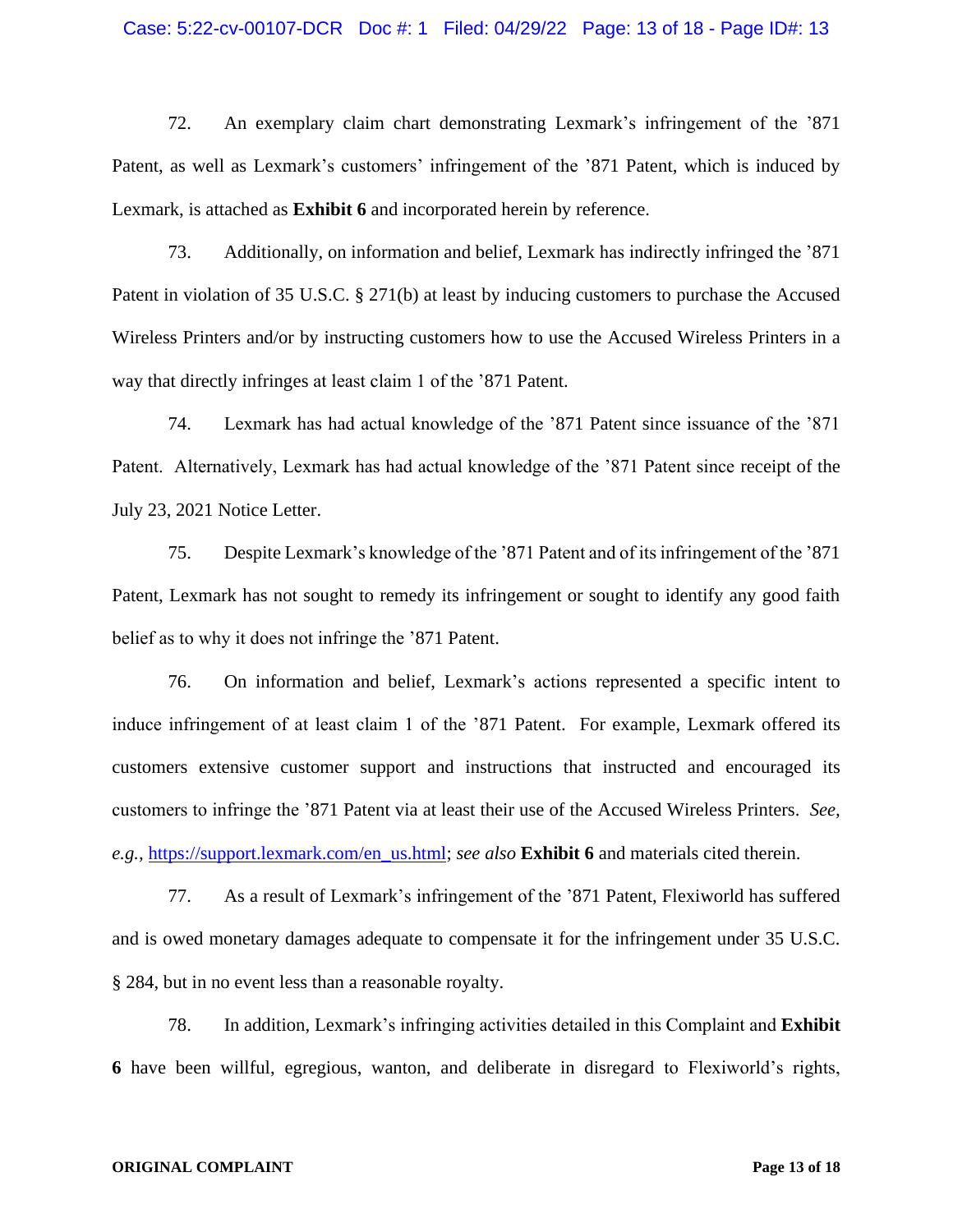### Case: 5:22-cv-00107-DCR Doc #: 1 Filed: 04/29/22 Page: 13 of 18 - Page ID#: 13

72. An exemplary claim chart demonstrating Lexmark's infringement of the '871 Patent, as well as Lexmark's customers' infringement of the '871 Patent, which is induced by Lexmark, is attached as **Exhibit 6** and incorporated herein by reference.

73. Additionally, on information and belief, Lexmark has indirectly infringed the '871 Patent in violation of 35 U.S.C. § 271(b) at least by inducing customers to purchase the Accused Wireless Printers and/or by instructing customers how to use the Accused Wireless Printers in a way that directly infringes at least claim 1 of the '871 Patent.

74. Lexmark has had actual knowledge of the '871 Patent since issuance of the '871 Patent. Alternatively, Lexmark has had actual knowledge of the '871 Patent since receipt of the July 23, 2021 Notice Letter.

75. Despite Lexmark's knowledge of the '871 Patent and of its infringement of the '871 Patent, Lexmark has not sought to remedy its infringement or sought to identify any good faith belief as to why it does not infringe the '871 Patent.

76. On information and belief, Lexmark's actions represented a specific intent to induce infringement of at least claim 1 of the '871 Patent. For example, Lexmark offered its customers extensive customer support and instructions that instructed and encouraged its customers to infringe the '871 Patent via at least their use of the Accused Wireless Printers. *See, e.g.,* [https://support.lexmark.com/en\\_us.html;](https://support.lexmark.com/en_us.html) *see also* **Exhibit 6** and materials cited therein.

77. As a result of Lexmark's infringement of the '871 Patent, Flexiworld has suffered and is owed monetary damages adequate to compensate it for the infringement under 35 U.S.C. § 284, but in no event less than a reasonable royalty.

78. In addition, Lexmark's infringing activities detailed in this Complaint and **Exhibit 6** have been willful, egregious, wanton, and deliberate in disregard to Flexiworld's rights,

#### **ORIGINAL COMPLAINT Page 13 of 18**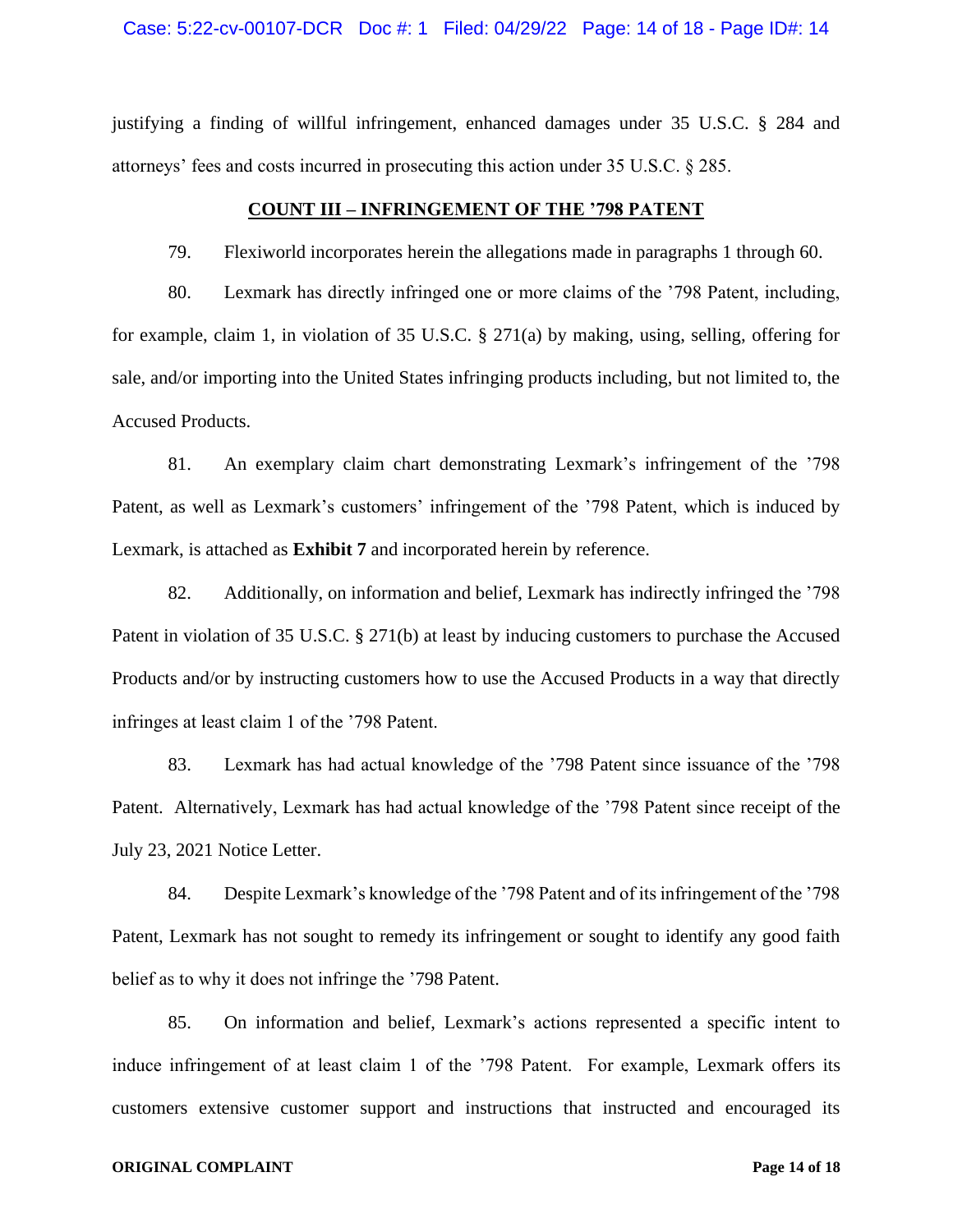justifying a finding of willful infringement, enhanced damages under 35 U.S.C. § 284 and attorneys' fees and costs incurred in prosecuting this action under 35 U.S.C. § 285.

# **COUNT III – INFRINGEMENT OF THE '798 PATENT**

79. Flexiworld incorporates herein the allegations made in paragraphs 1 through 60.

80. Lexmark has directly infringed one or more claims of the '798 Patent, including, for example, claim 1, in violation of 35 U.S.C. § 271(a) by making, using, selling, offering for sale, and/or importing into the United States infringing products including, but not limited to, the Accused Products.

81. An exemplary claim chart demonstrating Lexmark's infringement of the '798 Patent, as well as Lexmark's customers' infringement of the '798 Patent, which is induced by Lexmark, is attached as **Exhibit 7** and incorporated herein by reference.

82. Additionally, on information and belief, Lexmark has indirectly infringed the '798 Patent in violation of 35 U.S.C. § 271(b) at least by inducing customers to purchase the Accused Products and/or by instructing customers how to use the Accused Products in a way that directly infringes at least claim 1 of the '798 Patent.

83. Lexmark has had actual knowledge of the '798 Patent since issuance of the '798 Patent. Alternatively, Lexmark has had actual knowledge of the '798 Patent since receipt of the July 23, 2021 Notice Letter.

84. Despite Lexmark's knowledge of the '798 Patent and of its infringement of the '798 Patent, Lexmark has not sought to remedy its infringement or sought to identify any good faith belief as to why it does not infringe the '798 Patent.

85. On information and belief, Lexmark's actions represented a specific intent to induce infringement of at least claim 1 of the '798 Patent. For example, Lexmark offers its customers extensive customer support and instructions that instructed and encouraged its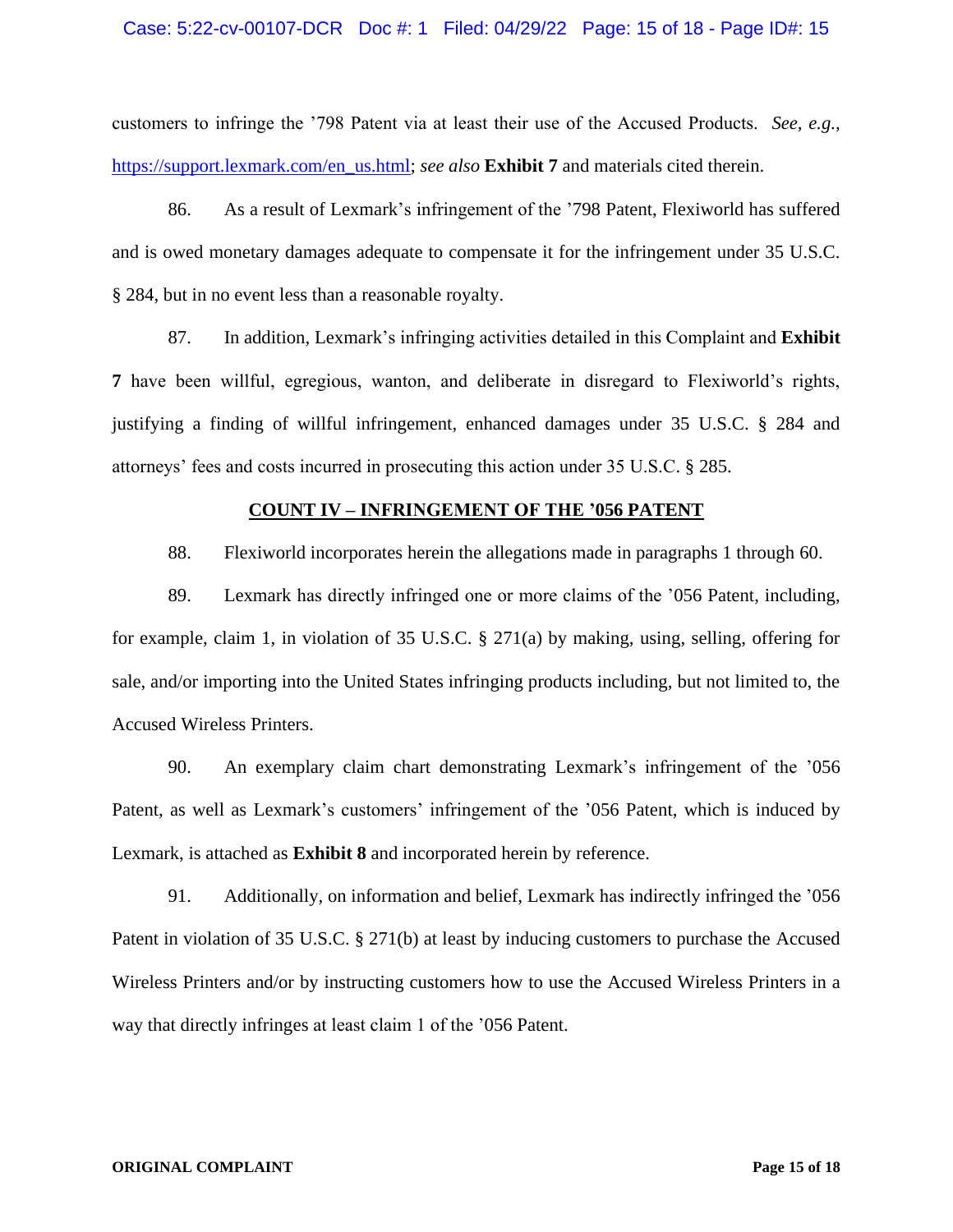## Case: 5:22-cv-00107-DCR Doc #: 1 Filed: 04/29/22 Page: 15 of 18 - Page ID#: 15

customers to infringe the '798 Patent via at least their use of the Accused Products. *See, e.g.,*  [https://support.lexmark.com/en\\_us.html;](https://support.lexmark.com/en_us.html) *see also* **Exhibit 7** and materials cited therein.

86. As a result of Lexmark's infringement of the '798 Patent, Flexiworld has suffered and is owed monetary damages adequate to compensate it for the infringement under 35 U.S.C. § 284, but in no event less than a reasonable royalty.

87. In addition, Lexmark's infringing activities detailed in this Complaint and **Exhibit 7** have been willful, egregious, wanton, and deliberate in disregard to Flexiworld's rights, justifying a finding of willful infringement, enhanced damages under 35 U.S.C. § 284 and attorneys' fees and costs incurred in prosecuting this action under 35 U.S.C. § 285.

#### **COUNT IV – INFRINGEMENT OF THE '056 PATENT**

88. Flexiworld incorporates herein the allegations made in paragraphs 1 through 60.

89. Lexmark has directly infringed one or more claims of the '056 Patent, including, for example, claim 1, in violation of 35 U.S.C.  $\S$  271(a) by making, using, selling, offering for sale, and/or importing into the United States infringing products including, but not limited to, the Accused Wireless Printers.

90. An exemplary claim chart demonstrating Lexmark's infringement of the '056 Patent, as well as Lexmark's customers' infringement of the '056 Patent, which is induced by Lexmark, is attached as **Exhibit 8** and incorporated herein by reference.

91. Additionally, on information and belief, Lexmark has indirectly infringed the '056 Patent in violation of 35 U.S.C. § 271(b) at least by inducing customers to purchase the Accused Wireless Printers and/or by instructing customers how to use the Accused Wireless Printers in a way that directly infringes at least claim 1 of the '056 Patent.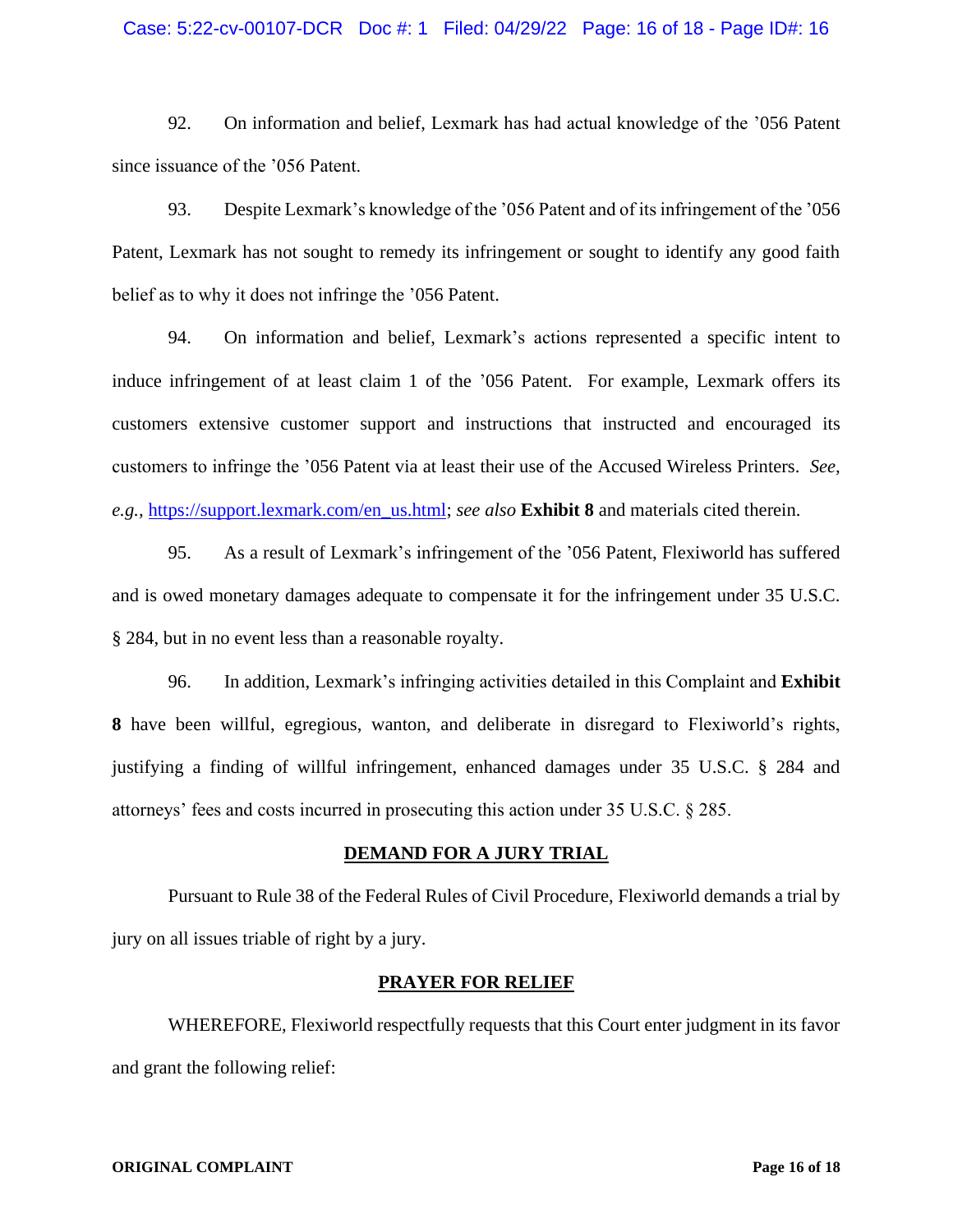## Case: 5:22-cv-00107-DCR Doc #: 1 Filed: 04/29/22 Page: 16 of 18 - Page ID#: 16

92. On information and belief, Lexmark has had actual knowledge of the '056 Patent since issuance of the '056 Patent.

93. Despite Lexmark's knowledge of the '056 Patent and of its infringement of the '056 Patent, Lexmark has not sought to remedy its infringement or sought to identify any good faith belief as to why it does not infringe the '056 Patent.

94. On information and belief, Lexmark's actions represented a specific intent to induce infringement of at least claim 1 of the '056 Patent. For example, Lexmark offers its customers extensive customer support and instructions that instructed and encouraged its customers to infringe the '056 Patent via at least their use of the Accused Wireless Printers. *See, e.g.,* [https://support.lexmark.com/en\\_us.html;](https://support.lexmark.com/en_us.html) *see also* **Exhibit 8** and materials cited therein.

95. As a result of Lexmark's infringement of the '056 Patent, Flexiworld has suffered and is owed monetary damages adequate to compensate it for the infringement under 35 U.S.C. § 284, but in no event less than a reasonable royalty.

96. In addition, Lexmark's infringing activities detailed in this Complaint and **Exhibit 8** have been willful, egregious, wanton, and deliberate in disregard to Flexiworld's rights, justifying a finding of willful infringement, enhanced damages under 35 U.S.C. § 284 and attorneys' fees and costs incurred in prosecuting this action under 35 U.S.C. § 285.

# **DEMAND FOR A JURY TRIAL**

Pursuant to Rule 38 of the Federal Rules of Civil Procedure, Flexiworld demands a trial by jury on all issues triable of right by a jury.

#### **PRAYER FOR RELIEF**

WHEREFORE, Flexiworld respectfully requests that this Court enter judgment in its favor and grant the following relief: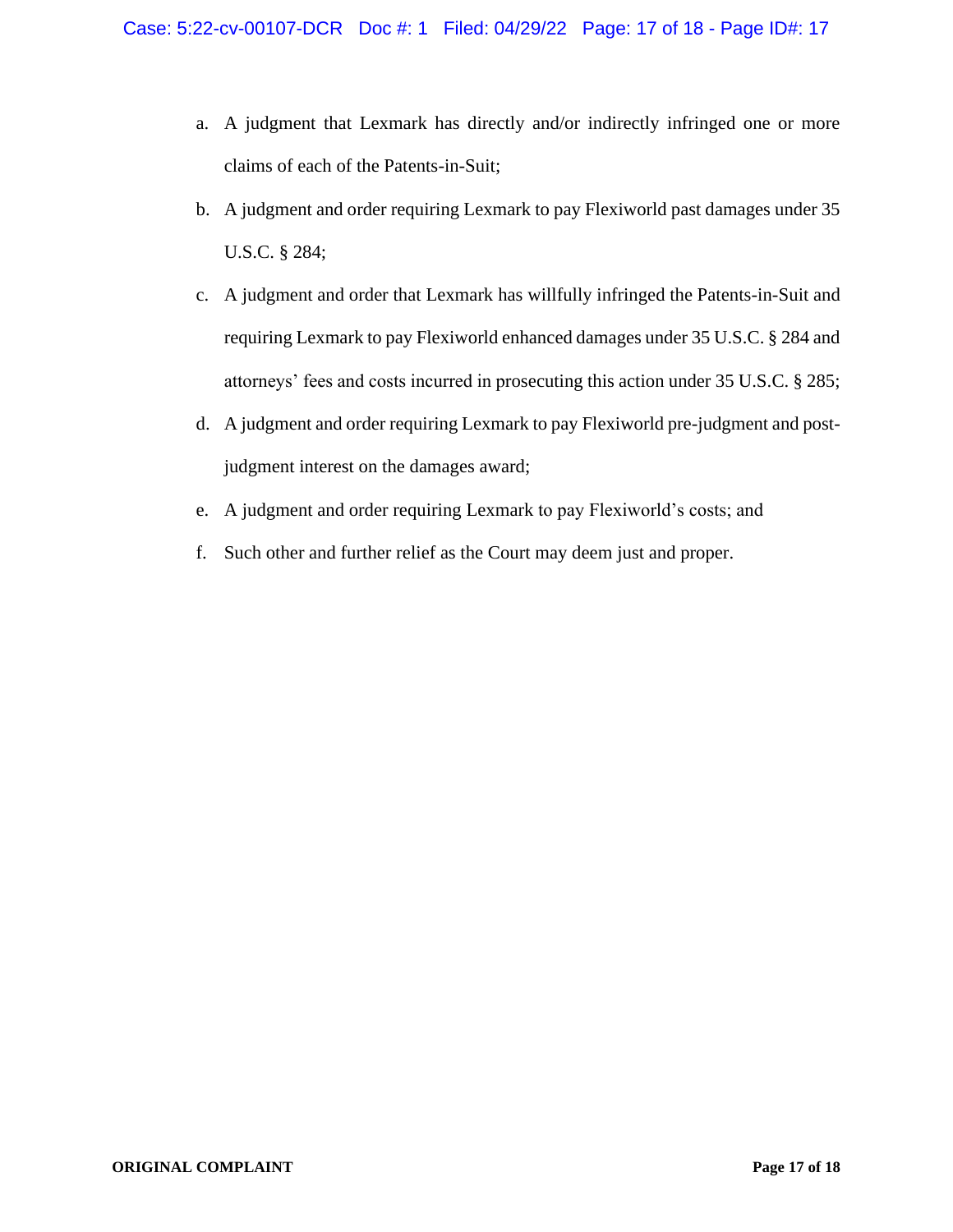- a. A judgment that Lexmark has directly and/or indirectly infringed one or more claims of each of the Patents-in-Suit;
- b. A judgment and order requiring Lexmark to pay Flexiworld past damages under 35 U.S.C. § 284;
- c. A judgment and order that Lexmark has willfully infringed the Patents-in-Suit and requiring Lexmark to pay Flexiworld enhanced damages under 35 U.S.C. § 284 and attorneys' fees and costs incurred in prosecuting this action under 35 U.S.C. § 285;
- d. A judgment and order requiring Lexmark to pay Flexiworld pre-judgment and postjudgment interest on the damages award;
- e. A judgment and order requiring Lexmark to pay Flexiworld's costs; and
- f. Such other and further relief as the Court may deem just and proper.